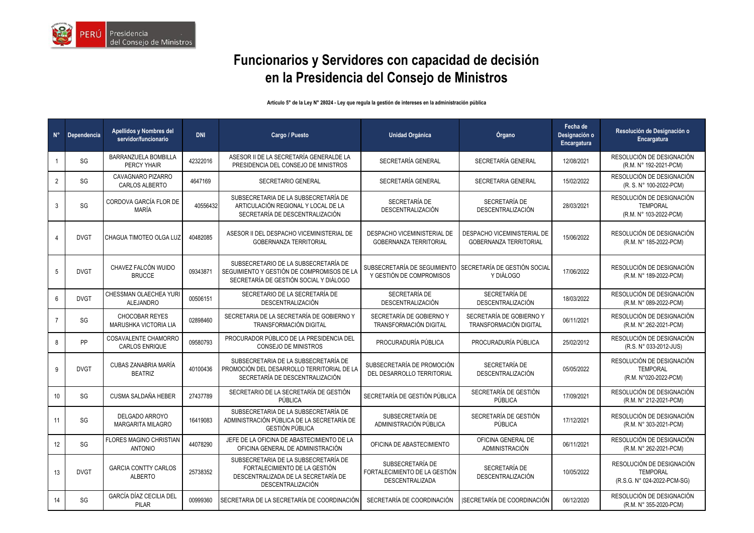

## **Funcionarios y Servidores con capacidad de decisión en la Presidencia del Consejo de Ministros**

## **Artículo 5° de la Ley N° 28024 - Ley que regula la gestión de intereses en la administración pública**

| $N^{\circ}$     | Dependencia | Apellidos y Nombres del<br>servidor/funcionario       | <b>DNI</b> | Cargo / Puesto                                                                                                                    | <b>Unidad Orgánica</b>                                                                | Órgano                                                              | Fecha de<br>Designación o<br>Encargatura | Resolución de Designación o<br><b>Encargatura</b>                           |
|-----------------|-------------|-------------------------------------------------------|------------|-----------------------------------------------------------------------------------------------------------------------------------|---------------------------------------------------------------------------------------|---------------------------------------------------------------------|------------------------------------------|-----------------------------------------------------------------------------|
|                 | SG          | BARRANZUELA BOMBILLA<br>PERCY YHAIR                   | 42322016   | ASESOR II DE LA SECRETARÍA GENERALDE LA<br>PRESIDENCIA DEL CONSEJO DE MINISTROS                                                   | SECRETARÍA GENERAL                                                                    | SECRETARÍA GENERAL                                                  | 12/08/2021                               | RESOLUCIÓN DE DESIGNACIÓN<br>(R.M. N° 192-2021-PCM)                         |
| $\overline{2}$  | SG          | <b>CAVAGNARO PIZARRO</b><br><b>CARLOS ALBERTO</b>     | 4647169    | SECRETARIO GENERAL                                                                                                                | SECRETARÍA GENERAL                                                                    | SECRETARIA GENERAL                                                  | 15/02/2022                               | RESOLUCIÓN DE DESIGNACIÓN<br>(R. S. N° 100-2022-PCM)                        |
| 3               | SG          | CORDOVA GARCÍA FLOR DE<br><b>MARÍA</b>                | 40556432   | SUBSECRETARIA DE LA SUBSECRETARÍA DE<br>ARTICULACIÓN REGIONAL Y LOCAL DE LA<br>SECRETARÍA DE DESCENTRALIZACIÓN                    | SECRETARÍA DE<br><b>DESCENTRALIZACIÓN</b>                                             | SECRETARÍA DE<br>DESCENTRALIZACIÓN                                  | 28/03/2021                               | RESOLUCIÓN DE DESIGNACIÓN<br><b>TEMPORAL</b><br>(R.M. N° 103-2022-PCM)      |
|                 | <b>DVGT</b> | CHAGUA TIMOTEO OLGA LUZ                               | 40482085   | ASESOR II DEL DESPACHO VICEMINISTERIAL DE<br><b>GOBERNANZA TERRITORIAL</b>                                                        | DESPACHO VICEMINISTERIAL DE<br><b>GOBERNANZA TERRITORIAL</b>                          | <b>DESPACHO VICEMINISTERIAL DE</b><br><b>GOBERNANZA TERRITORIAL</b> | 15/06/2022                               | RESOLUCIÓN DE DESIGNACIÓN<br>(R.M. N° 185-2022-PCM)                         |
| 5               | <b>DVGT</b> | CHAVEZ FALCÓN WUIDO<br><b>BRUCCE</b>                  | 09343871   | SUBSECRETARIO DE LA SUBSECRETARÍA DE<br>SEGUIMIENTO Y GESTIÓN DE COMPROMISOS DE LA<br>SECRETARÍA DE GESTIÓN SOCIAL Y DIÁLOGO      | SUBSECRETARÍA DE SEGUIMIENTO SECRETARÍA DE GESTIÓN SOCIAL<br>Y GESTIÓN DE COMPROMISOS | Y DIÁLOGO                                                           | 17/06/2022                               | RESOLUCIÓN DE DESIGNACIÓN<br>(R.M. N° 189-2022-PCM)                         |
| 6               | <b>DVGT</b> | CHESSMAN OLAECHEA YURI<br><b>ALEJANDRO</b>            | 00506151   | SECRETARIO DE LA SECRETARÍA DE<br>DESCENTRALIZACIÓN                                                                               | SECRETARÍA DE<br>DESCENTRALIZACIÓN                                                    | SECRETARÍA DE<br>DESCENTRALIZACIÓN                                  | 18/03/2022                               | RESOLUCIÓN DE DESIGNACIÓN<br>(R.M. N° 089-2022-PCM)                         |
|                 | SG          | <b>CHOCOBAR REYES</b><br><b>MARUSHKA VICTORIA LIA</b> | 02898460   | SECRETARIA DE LA SECRETARÍA DE GOBIERNO Y<br>TRANSFORMACIÓN DIGITAL                                                               | SECRETARÍA DE GOBIERNO Y<br>TRANSFORMACIÓN DIGITAL                                    | SECRETARÍA DE GOBIERNO Y<br>TRANSFORMACIÓN DIGITAL                  | 06/11/2021                               | RESOLUCIÓN DE DESIGNACIÓN<br>(R.M. N°.262-2021-PCM)                         |
| 8               | PP          | COSAVALENTE CHAMORRO<br><b>CARLOS ENRIQUE</b>         | 09580793   | PROCURADOR PÚBLICO DE LA PRESIDENCIA DEL<br><b>CONSEJO DE MINISTROS</b>                                                           | PROCURADURÍA PÚBLICA                                                                  | PROCURADURÍA PÚBLICA                                                | 25/02/2012                               | RESOLUCIÓN DE DESIGNACIÓN<br>(R.S. N° 033-2012-JUS)                         |
| 9               | <b>DVGT</b> | CUBAS ZANABRIA MARÍA<br><b>BEATRIZ</b>                | 40100436   | SUBSECRETARIA DE LA SUBSECRETARÍA DE<br>PROMOCIÓN DEL DESARROLLO TERRITORIAL DE LA<br>SECRETARÍA DE DESCENTRALIZACIÓN             | SUBSECRETARÍA DE PROMOCIÓN<br>DEL DESARROLLO TERRITORIAL                              | SECRETARÍA DE<br>DESCENTRALIZACIÓN                                  | 05/05/2022                               | RESOLUCIÓN DE DESIGNACIÓN<br><b>TEMPORAL</b><br>(R.M. N°020-2022-PCM)       |
| 10              | SG          | CUSMA SALDAÑA HEBER                                   | 27437789   | SECRETARIO DE LA SECRETARÍA DE GESTIÓN<br>PÚBLICA                                                                                 | SECRETARÍA DE GESTIÓN PÚBLICA                                                         | SECRETARÍA DE GESTIÓN<br>PÚBLICA                                    | 17/09/2021                               | RESOLUCIÓN DE DESIGNACIÓN<br>(R.M. N° 212-2021-PCM)                         |
| 11              | SG          | DELGADO ARROYO<br>MARGARITA MILAGRO                   | 16419083   | SUBSECRETARIA DE LA SUBSECRETARÍA DE<br>ADMINISTRACIÓN PÚBLICA DE LA SECRETARÍA DE<br><b>GESTIÓN PÚBLICA</b>                      | SUBSECRETARÍA DE<br>ADMINISTRACIÓN PÚBLICA                                            | SECRETARÍA DE GESTIÓN<br>PÚBLICA                                    | 17/12/2021                               | RESOLUCIÓN DE DESIGNACIÓN<br>(R.M. N° 303-2021-PCM)                         |
| 12 <sup>°</sup> | SG          | <b>FLORES MAGINO CHRISTIAN</b><br><b>ANTONIO</b>      | 44078290   | JEFE DE LA OFICINA DE ABASTECIMIENTO DE LA<br>OFICINA GENERAL DE ADMINISTRACIÓN                                                   | OFICINA DE ABASTECIMIENTO                                                             | OFICINA GENERAL DE<br>ADMINISTRACIÓN                                | 06/11/2021                               | RESOLUCIÓN DE DESIGNACIÓN<br>(R.M. N° 262-2021-PCM)                         |
| 13              | <b>DVGT</b> | <b>GARCIA CONTTY CARLOS</b><br><b>ALBERTO</b>         | 25738352   | SUBSECRETARIA DE LA SUBSECRETARÍA DE<br>FORTALECIMIENTO DE LA GESTIÓN<br>DESCENTRALIZADA DE LA SECRETARÍA DE<br>DESCENTRALIZACIÓN | SUBSECRETARÍA DE<br>FORTALECIMIENTO DE LA GESTIÓN<br><b>DESCENTRALIZADA</b>           | SECRETARÍA DE<br>DESCENTRALIZACIÓN                                  | 10/05/2022                               | RESOLUCIÓN DE DESIGNACIÓN<br><b>TEMPORAL</b><br>(R.S.G. N° 024-2022-PCM-SG) |
| 14              | SG          | GARCÍA DÍAZ CECILIA DEL<br>PILAR                      | 00999360   | SECRETARIA DE LA SECRETARÍA DE COORDINACIÓN                                                                                       | SECRETARÍA DE COORDINACIÓN                                                            | <b>ISECRETARÍA DE COORDINACIÓN</b>                                  | 06/12/2020                               | RESOLUCIÓN DE DESIGNACIÓN<br>(R.M. N° 355-2020-PCM)                         |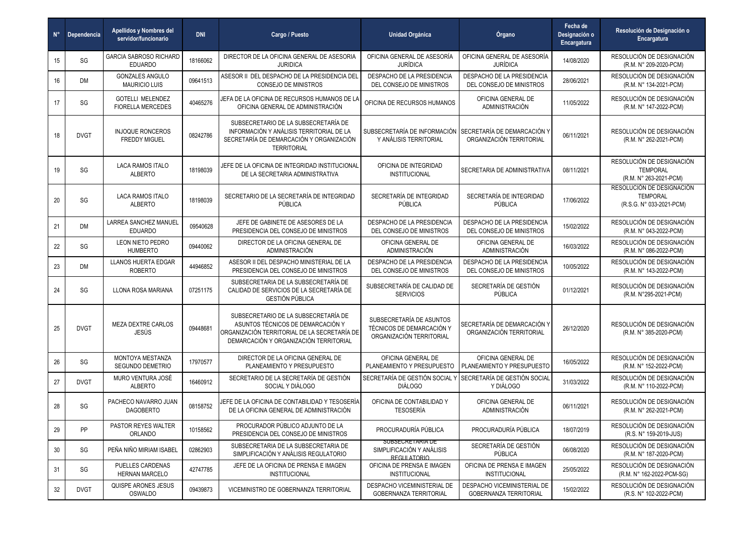| $N^{\circ}$ | Dependencia | Apellidos y Nombres del<br>servidor/funcionario     | <b>DNI</b> | Cargo / Puesto                                                                                                                                                      | <b>Unidad Orgánica</b>                                                             | Órgano                                                       | Fecha de<br>Designación o<br>Encargatura | Resolución de Designación o<br><b>Encargatura</b>                        |
|-------------|-------------|-----------------------------------------------------|------------|---------------------------------------------------------------------------------------------------------------------------------------------------------------------|------------------------------------------------------------------------------------|--------------------------------------------------------------|------------------------------------------|--------------------------------------------------------------------------|
| 15          | SG          | <b>GARCIA SABROSO RICHARD</b><br><b>EDUARDO</b>     | 18166062   | DIRECTOR DE LA OFICINA GENERAL DE ASESORIA<br><b>JURIDICA</b>                                                                                                       | OFICINA GENERAL DE ASESORÍA<br><b>JURÍDICA</b>                                     | OFICINA GENERAL DE ASESORÍA<br><b>JURÍDICA</b>               | 14/08/2020                               | RESOLUCIÓN DE DESIGNACIÓN<br>(R.M. N° 209-2020-PCM)                      |
| 16          | DM          | <b>GONZALES ANGULO</b><br><b>MAURICIO LUIS</b>      | 09641513   | ASESOR II DEL DESPACHO DE LA PRESIDENCIA DEL<br>CONSEJO DE MINISTROS                                                                                                | DESPACHO DE LA PRESIDENCIA<br>DEL CONSEJO DE MINISTROS                             | DESPACHO DE LA PRESIDENCIA<br>DEL CONSEJO DE MINISTROS       | 28/06/2021                               | RESOLUCIÓN DE DESIGNACIÓN<br>(R.M. N° 134-2021-PCM)                      |
| 17          | SG          | <b>GOTELLI MELENDEZ</b><br><b>FIORELLA MERCEDES</b> | 40465276   | JEFA DE LA OFICINA DE RECURSOS HUMANOS DE L<br>OFICINA GENERAL DE ADMINISTRACIÓN                                                                                    | OFICINA DE RECURSOS HUMANOS                                                        | OFICINA GENERAL DE<br>ADMINISTRACIÓN                         | 11/05/2022                               | RESOLUCIÓN DE DESIGNACIÓN<br>(R.M. N° 147-2022-PCM)                      |
| 18          | <b>DVGT</b> | <b>INJOQUE RONCEROS</b><br><b>FREDDY MIGUEL</b>     | 08242786   | SUBSECRETARIO DE LA SUBSECRETARÍA DE<br>INFORMACIÓN Y ANÁLISIS TERRITORIAL DE LA<br>SECRETARÍA DE DEMARCACIÓN Y ORGANIZACIÓN<br><b>TERRITORIAL</b>                  | SUBSECRETARÍA DE INFORMACIÓN SECRETARÍA DE DEMARCACIÓN Y<br>Y ANÁLISIS TERRITORIAL | ORGANIZACIÓN TERRITORIAL                                     | 06/11/2021                               | RESOLUCIÓN DE DESIGNACIÓN<br>(R.M. N° 262-2021-PCM)                      |
| 19          | SG          | <b>LACA RAMOS ITALO</b><br><b>ALBERTO</b>           | 18198039   | JEFE DE LA OFICINA DE INTEGRIDAD INSTITUCIONAL<br>DE LA SECRETARIA ADMINISTRATIVA                                                                                   | OFICINA DE INTEGRIDAD<br><b>INSTITUCIONAL</b>                                      | SECRETARIA DE ADMINISTRATIVA                                 | 08/11/2021                               | RESOLUCIÓN DE DESIGNACIÓN<br><b>TEMPORAL</b><br>(R.M. N° 263-2021-PCM)   |
| 20          | SG          | LACA RAMOS ITALO<br><b>ALBERTO</b>                  | 18198039   | SECRETARIO DE LA SECRETARÍA DE INTEGRIDAD<br>PÚBLICA                                                                                                                | SECRETARÍA DE INTEGRIDAD<br>PÚBLICA                                                | SECRETARÍA DE INTEGRIDAD<br>PÚBLICA                          | 17/06/2022                               | RESOLUCIÓN DE DESIGNACIÓN<br><b>TEMPORAL</b><br>(R.S.G. N° 033-2021-PCM) |
| 21          | DM          | <b>LARREA SANCHEZ MANUEL</b><br><b>EDUARDO</b>      | 09540628   | JEFE DE GABINETE DE ASESORES DE LA<br>PRESIDENCIA DEL CONSEJO DE MINISTROS                                                                                          | DESPACHO DE LA PRESIDENCIA<br>DEL CONSEJO DE MINISTROS                             | DESPACHO DE LA PRESIDENCIA<br>DEL CONSEJO DE MINISTROS       | 15/02/2022                               | RESOLUCIÓN DE DESIGNACIÓN<br>(R.M. N° 043-2022-PCM)                      |
| 22          | SG          | LEON NIETO PEDRO<br><b>HUMBERTO</b>                 | 09440062   | DIRECTOR DE LA OFICINA GENERAL DE<br>ADMINISTRACIÓN                                                                                                                 | OFICINA GENERAL DE<br><b>ADMINISTRACIÓN</b>                                        | OFICINA GENERAL DE<br><b>ADMINISTRACIÓN</b>                  | 16/03/2022                               | RESOLUCIÓN DE DESIGNACIÓN<br>(R.M. N° 086-2022-PCM)                      |
| 23          | DM          | LLANOS HUERTA EDGAR<br><b>ROBERTO</b>               | 44946852   | ASESOR II DEL DESPACHO MINISTERIAL DE LA<br>PRESIDENCIA DEL CONSEJO DE MINISTROS                                                                                    | DESPACHO DE LA PRESIDENCIA<br>DEL CONSEJO DE MINISTROS                             | DESPACHO DE LA PRESIDENCIA<br>DEL CONSEJO DE MINISTROS       | 10/05/2022                               | RESOLUCIÓN DE DESIGNACIÓN<br>(R.M. N° 143-2022-PCM)                      |
| 24          | SG          | LLONA ROSA MARIANA                                  | 07251175   | SUBSECRETARIA DE LA SUBSECRETARÍA DE<br>CALIDAD DE SERVICIOS DE LA SECRETARÍA DE<br><b>GESTIÓN PÚBLICA</b>                                                          | SUBSECRETARÍA DE CALIDAD DE<br><b>SERVICIOS</b>                                    | SECRETARÍA DE GESTIÓN<br>PÚBLICA                             | 01/12/2021                               | RESOLUCIÓN DE DESIGNACIÓN<br>(R.M. N°295-2021-PCM)                       |
| 25          | <b>DVGT</b> | MEZA DEXTRE CARLOS<br>JESÚS                         | 09448681   | SUBSECRETARIO DE LA SUBSECRETARÍA DE<br>ASUNTOS TÉCNICOS DE DEMARCACIÓN Y<br>ORGANIZACIÓN TERRITORIAL DE LA SECRETARÍA DE<br>DEMARCACIÓN Y ORGANIZACIÓN TERRITORIAL | SUBSECRETARÍA DE ASUNTOS<br>TÉCNICOS DE DEMARCACIÓN Y<br>ORGANIZACIÓN TERRITORIAL  | SECRETARÍA DE DEMARCACIÓN Y<br>ORGANIZACIÓN TERRITORIAL      | 26/12/2020                               | RESOLUCIÓN DE DESIGNACIÓN<br>(R.M. N° 385-2020-PCM)                      |
| 26          | SG          | MONTOYA MESTANZA<br>SEGUNDO DEMETRIO                | 17970577   | DIRECTOR DE LA OFICINA GENERAL DE<br>PLANEAMIENTO Y PRESUPUESTO                                                                                                     | OFICINA GENERAL DE<br>PLANEAMIENTO Y PRESUPUESTO                                   | OFICINA GENERAL DE<br>PLANEAMIENTO Y PRESUPUESTO             | 16/05/2022                               | RESOLUCIÓN DE DESIGNACIÓN<br>(R.M. N° 152-2022-PCM)                      |
| 27          | <b>DVGT</b> | MURO VENTURA JOSÉ<br><b>ALBERTO</b>                 | 16460912   | SECRETARIO DE LA SECRETARÍA DE GESTIÓN<br>SOCIAL Y DIÁLOGO                                                                                                          | SECRETARÍA DE GESTIÓN SOCIAL Y<br><b>DIÁLOGO</b>                                   | SECRETARÍA DE GESTIÓN SOCIAL<br>Y DIÁLOGO                    | 31/03/2022                               | RESOLUCIÓN DE DESIGNACIÓN<br>(R.M. N° 110-2022-PCM)                      |
| 28          | SG          | PACHECO NAVARRO JUAN<br><b>DAGOBERTO</b>            | 08158752   | JEFE DE LA OFICINA DE CONTABILIDAD Y TESOSERÍA<br>DE LA OFICINA GENERAL DE ADMINISTRACIÓN                                                                           | OFICINA DE CONTABILIDAD Y<br>TESOSERÍA                                             | OFICINA GENERAL DE<br>ADMINISTRACIÓN                         | 06/11/2021                               | RESOLUCIÓN DE DESIGNACIÓN<br>(R.M. N° 262-2021-PCM)                      |
| 29          | <b>PP</b>   | PASTOR REYES WALTER<br><b>ORLANDO</b>               | 10158562   | PROCURADOR PÚBLICO ADJUNTO DE LA<br>PRESIDENCIA DEL CONSEJO DE MINISTROS                                                                                            | PROCURADURÍA PÚBLICA                                                               | PROCURADURÍA PÚBLICA                                         | 18/07/2019                               | RESOLUCIÓN DE DESIGNACIÓN<br>(R.S. N° 159-2019-JUS)                      |
| 30          | SG          | PEÑA NIÑO MIRIAM ISABEL                             | 02862903   | SUBSECRETARIA DE LA SUBSECRETARIA DE<br>SIMPLIFICACIÓN Y ANÁLISIS REGULATORIO                                                                                       | SUBSECRETARIA DE<br>SIMPLIFICACIÓN Y ANÁLISIS<br>REGULATORIO                       | SECRETARÍA DE GESTIÓN<br>PÚBLICA                             | 06/08/2020                               | RESOLUCIÓN DE DESIGNACIÓN<br>(R.M. N° 187-2020-PCM)                      |
| 31          | SG          | PUELLES CARDENAS<br><b>HERNAN MARCELO</b>           | 42747785   | JEFE DE LA OFICINA DE PRENSA E IMAGEN<br><b>INSTITUCIONAL</b>                                                                                                       | OFICINA DE PRENSA E IMAGEN<br><b>INSTITUCIONAL</b>                                 | OFICINA DE PRENSA E IMAGEN<br><b>INSTITUCIONAL</b>           | 25/05/2022                               | RESOLUCIÓN DE DESIGNACIÓN<br>(R.M. N° 162-2022-PCM-SG)                   |
| 32          | <b>DVGT</b> | QUISPE ARONES JESUS<br>OSWALDO                      | 09439873   | VICEMINISTRO DE GOBERNANZA TERRITORIAL                                                                                                                              | DESPACHO VICEMINISTERIAL DE<br><b>GOBERNANZA TERRITORIAL</b>                       | DESPACHO VICEMINISTERIAL DE<br><b>GOBERNANZA TERRITORIAL</b> | 15/02/2022                               | RESOLUCIÓN DE DESIGNACIÓN<br>(R.S. N° 102-2022-PCM)                      |